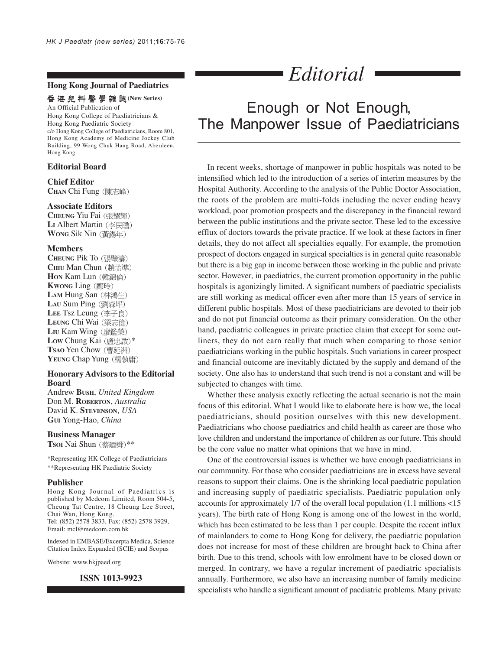#### **Hong Kong Journal of Paediatrics**

#### 香港兒科醫學雜誌(New Series)

An Official Publication of Hong Kong College of Paediatricians & Hong Kong Paediatric Society c/o Hong Kong College of Paediatricians, Room 801, Hong Kong Academy of Medicine Jockey Club Building, 99 Wong Chuk Hang Road, Aberdeen, Hong Kong.

### **Editorial Board**

## **Chief Editor**

**CHAN** Chi Fung

#### **Associate Editors**

**CHEUNG** Yiu Fai LI Albert Martin (李民膽) **WONG** Sik Nin

#### **Members**

**CHEUNG** Pik To **CHIU** Man Chun **Hon Kam Lun** (韓錦倫) **KWONG** Ling LAM Hung San (林鴻生) LAU Sum Ping (劉森坪) LEE Tsz Leung (李子良) **LEUNG Chi Wai** (梁志偉) LIU Kam Wing (廖鑑榮) Low Chung Kai (盧忠啟)\* **TSAO** Yen Chow YEUNG Chap Yung (楊執庸)

#### **Honorary Advisors to the Editorial Board**

Andrew **BUSH**, *United Kingdom* Don M. **ROBERTON**, *Australia* David K. **STEVENSON**, *USA* **GUI** Yong-Hao, *China*

#### **Business Manager**

**TsoI** Nai Shun (蔡廼舜)\*\*

\*Representing HK College of Paediatricians \*\*Representing HK Paediatric Society

#### **Publisher**

Hong Kong Journal of Paediatrics is published by Medcom Limited, Room 504-5, Cheung Tat Centre, 18 Cheung Lee Street, Chai Wan, Hong Kong. Tel: (852) 2578 3833, Fax: (852) 2578 3929, Email: mcl@medcom.com.hk

Indexed in EMBASE/Excerpta Medica, Science Citation Index Expanded (SCIE) and Scopus

Website: www.hkjpaed.org

#### **ISSN 1013-9923**

# *Editorial*

# Enough or Not Enough, The Manpower Issue of Paediatricians

In recent weeks, shortage of manpower in public hospitals was noted to be intensified which led to the introduction of a series of interim measures by the Hospital Authority. According to the analysis of the Public Doctor Association, the roots of the problem are multi-folds including the never ending heavy workload, poor promotion prospects and the discrepancy in the financial reward between the public institutions and the private sector. These led to the excessive efflux of doctors towards the private practice. If we look at these factors in finer details, they do not affect all specialties equally. For example, the promotion prospect of doctors engaged in surgical specialties is in general quite reasonable but there is a big gap in income between those working in the public and private sector. However, in paediatrics, the current promotion opportunity in the public hospitals is agonizingly limited. A significant numbers of paediatric specialists are still working as medical officer even after more than 15 years of service in different public hospitals. Most of these paediatricians are devoted to their job and do not put financial outcome as their primary consideration. On the other hand, paediatric colleagues in private practice claim that except for some outliners, they do not earn really that much when comparing to those senior paediatricians working in the public hospitals. Such variations in career prospect and financial outcome are inevitably dictated by the supply and demand of the society. One also has to understand that such trend is not a constant and will be subjected to changes with time.

Whether these analysis exactly reflecting the actual scenario is not the main focus of this editorial. What I would like to elaborate here is how we, the local paediatricians, should position ourselves with this new development. Paediatricians who choose paediatrics and child health as career are those who love children and understand the importance of children as our future. This should be the core value no matter what opinions that we have in mind.

One of the controversial issues is whether we have enough paediatricians in our community. For those who consider paediatricians are in excess have several reasons to support their claims. One is the shrinking local paediatric population and increasing supply of paediatric specialists. Paediatric population only accounts for approximately 1/7 of the overall local population (1.1 millions <15 years). The birth rate of Hong Kong is among one of the lowest in the world, which has been estimated to be less than 1 per couple. Despite the recent influx of mainlanders to come to Hong Kong for delivery, the paediatric population does not increase for most of these children are brought back to China after birth. Due to this trend, schools with low enrolment have to be closed down or merged. In contrary, we have a regular increment of paediatric specialists annually. Furthermore, we also have an increasing number of family medicine specialists who handle a significant amount of paediatric problems. Many private